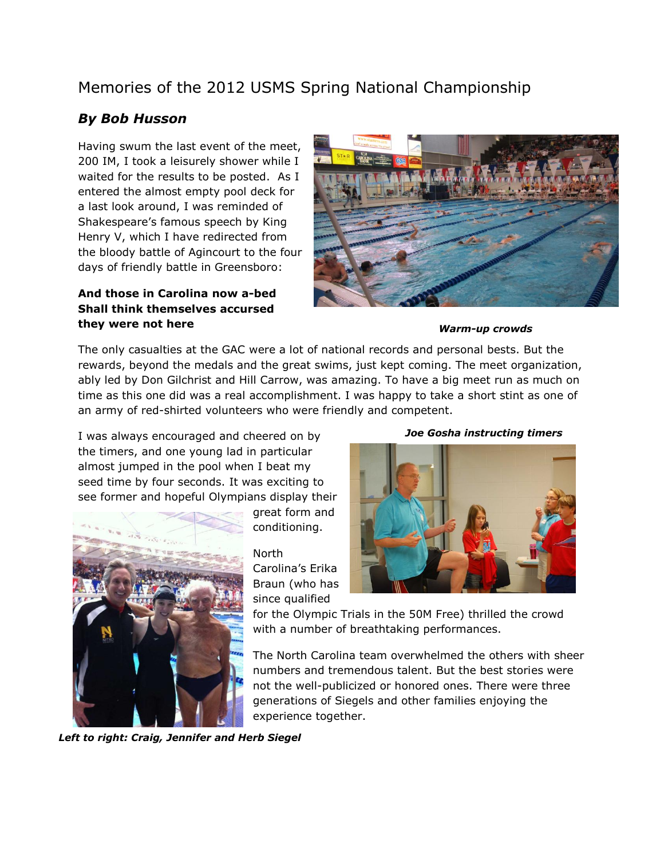## Memories of the 2012 USMS Spring National Championship

## *By Bob Husson*

Having swum the last event of the meet, 200 IM, I took a leisurely shower while I waited for the results to be posted. As I entered the almost empty pool deck for a last look around, I was reminded of Shakespeare's famous speech by King Henry V, which I have redirected from the bloody battle of Agincourt to the four days of friendly battle in Greensboro:

## **And those in Carolina now a-bed Shall think themselves accursed they were not here**



*Warm-up crowds*

The only casualties at the GAC were a lot of national records and personal bests. But the rewards, beyond the medals and the great swims, just kept coming. The meet organization, ably led by Don Gilchrist and Hill Carrow, was amazing. To have a big meet run as much on time as this one did was a real accomplishment. I was happy to take a short stint as one of an army of red-shirted volunteers who were friendly and competent.

I was always encouraged and cheered on by the timers, and one young lad in particular almost jumped in the pool when I beat my seed time by four seconds. It was exciting to see former and hopeful Olympians display their



great form and conditioning.

North Carolina's Erika Braun (who has since qualified

*Joe Gosha instructing timers*



for the Olympic Trials in the 50M Free) thrilled the crowd with a number of breathtaking performances.

The North Carolina team overwhelmed the others with sheer numbers and tremendous talent. But the best stories were not the well-publicized or honored ones. There were three generations of Siegels and other families enjoying the experience together.

*Left to right: Craig, Jennifer and Herb Siegel*